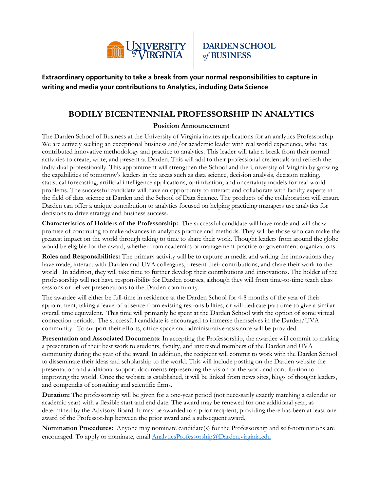

**DARDEN SCHOOL** of BUSINESS

**Extraordinary opportunity to take a break from your normal responsibilities to capture in writing and media your contributions to Analytics, including Data Science** 

## **BODILY BICENTENNIAL PROFESSORSHIP IN ANALYTICS**

## **Position Announcement**

The Darden School of Business at the University of Virginia invites applications for an analytics Professorship. We are actively seeking an exceptional business and/or academic leader with real world experience, who has contributed innovative methodology and practice to analytics. This leader will take a break from their normal activities to create, write, and present at Darden. This will add to their professional credentials and refresh the individual professionally. This appointment will strengthen the School and the University of Virginia by growing the capabilities of tomorrow's leaders in the areas such as data science, decision analysis, decision making, statistical forecasting, artificial intelligence applications, optimization, and uncertainty models for real-world problems. The successful candidate will have an opportunity to interact and collaborate with faculty experts in the field of data science at Darden and the School of Data Science. The products of the collaboration will ensure Darden can offer a unique contribution to analytics focused on helping practicing managers use analytics for decisions to drive strategy and business success.

**Characteristics of Holders of the Professorship:** The successful candidate will have made and will show promise of continuing to make advances in analytics practice and methods. They will be those who can make the greatest impact on the world through taking to time to share their work. Thought leaders from around the globe would be eligible for the award, whether from academics or management practice or government organizations.

**Roles and Responsibilities:** The primary activity will be to capture in media and writing the innovations they have made, interact with Darden and UVA colleagues, present their contributions, and share their work to the world. In addition, they will take time to further develop their contributions and innovations. The holder of the professorship will not have responsibility for Darden courses, although they will from time-to-time teach class sessions or deliver presentations to the Darden community.

The awardee will either be full-time in residence at the Darden School for 4-8 months of the year of their appointment, taking a leave-of-absence from existing responsibilities, or will dedicate part time to give a similar overall time equivalent. This time will primarily be spent at the Darden School with the option of some virtual connection periods. The successful candidate is encouraged to immerse themselves in the Darden/UVA community. To support their efforts, office space and administrative assistance will be provided.

**Presentation and Associated Documents**: In accepting the Professorship, the awardee will commit to making a presentation of their best work to students, faculty, and interested members of the Darden and UVA community during the year of the award. In addition, the recipient will commit to work with the Darden School to disseminate their ideas and scholarship to the world. This will include posting on the Darden website the presentation and additional support documents representing the vision of the work and contribution to improving the world. Once the website is established, it will be linked from news sites, blogs of thought leaders, and compendia of consulting and scientific firms.

**Duration:** The professorship will be given for a one-year period (not necessarily exactly matching a calendar or academic year) with a flexible start and end date. The award may be renewed for one additional year, as determined by the Advisory Board. It may be awarded to a prior recipient, providing there has been at least one award of the Professorship between the prior award and a subsequent award.

**Nomination Procedures:** Anyone may nominate candidate(s) for the Professorship and self-nominations are encouraged. To apply or nominate, email [AnalyticsProfessorship@Darden.virginia.edu](mailto:AnalyticsProfessorship@Darden.virginia.edu)